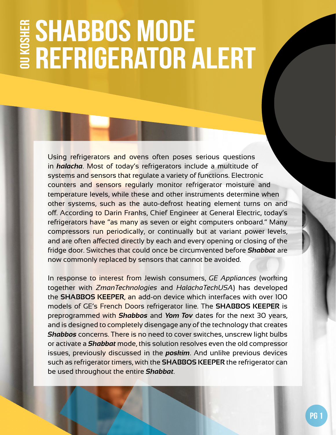## **Shabbos Mode OU Kosher Refrigerator Alert**

Using refrigerators and ovens often poses serious questions in *halacha*. Most of today's refrigerators include a multitude of systems and sensors that regulate a variety of functions. Electronic counters and sensors regularly monitor refrigerator moisture and temperature levels, while these and other instruments determine when other systems, such as the auto-defrost heating element turns on and off. According to Darin Franks, Chief Engineer at General Electric, today's refrigerators have "as many as seven or eight computers onboard." Many compressors run periodically, or continually but at variant power levels, and are often affected directly by each and every opening or closing of the fridge door. Switches that could once be circumvented before *Shabbat* are now commonly replaced by sensors that cannot be avoided.

In response to interest from Jewish consumers, *GE Appliances* (working together with *ZmanTechnologies* and *HalachaTechUSA*) has developed the **SHABBOS KEEPER**, an add-on device which interfaces with over 100 models of GE's French Doors refrigerator line. The **SHABBOS KEEPER** is preprogrammed with *Shabbos* and *Yom Tov* dates for the next 30 years, and is designed to completely disengage any of the technology that creates *Shabbos* concerns. There is no need to cover switches, unscrew light bulbs or activate a *Shabbat* mode, this solution resolves even the old compressor issues, previously discussed in the *poskim*. And unlike previous devices such as refrigerator timers, with the **SHABBOS KEEPER** the refrigerator can be used throughout the entire *Shabbat*.